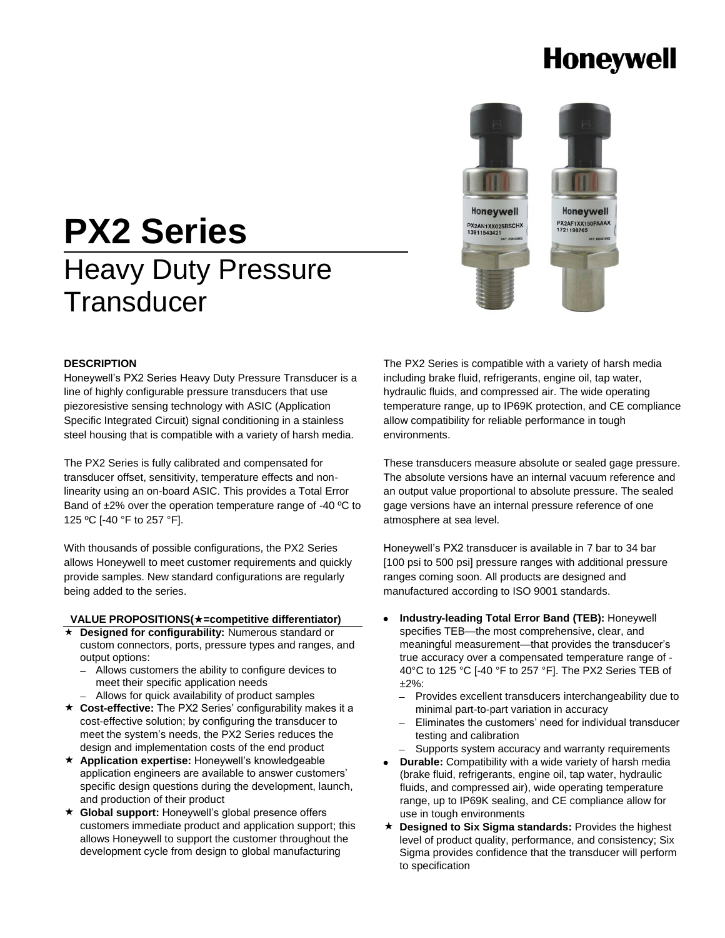# **Honeywell**

# **PX2 Series** Heavy Duty Pressure **Transducer**



#### **DESCRIPTION**

Honeywell's PX2 Series Heavy Duty Pressure Transducer is a line of highly configurable pressure transducers that use piezoresistive sensing technology with ASIC (Application Specific Integrated Circuit) signal conditioning in a stainless steel housing that is compatible with a variety of harsh media.

The PX2 Series is fully calibrated and compensated for transducer offset, sensitivity, temperature effects and nonlinearity using an on-board ASIC. This provides a Total Error Band of ±2% over the operation temperature range of -40 ºC to 125 ºC [-40 °F to 257 °F].

With thousands of possible configurations, the PX2 Series allows Honeywell to meet customer requirements and quickly provide samples. New standard configurations are regularly being added to the series.

#### **VALUE PROPOSITIONS(=competitive differentiator)**

- **Designed for configurability:** Numerous standard or custom connectors, ports, pressure types and ranges, and output options:
	- Allows customers the ability to configure devices to a. meet their specific application needs
	- Allows for quick availability of product samples
- **Cost-effective:** The PX2 Series' configurability makes it a cost-effective solution; by configuring the transducer to meet the system's needs, the PX2 Series reduces the design and implementation costs of the end product
- **Application expertise:** Honeywell's knowledgeable application engineers are available to answer customers' specific design questions during the development, launch, and production of their product
- **Global support:** Honeywell's global presence offers customers immediate product and application support; this allows Honeywell to support the customer throughout the development cycle from design to global manufacturing

The PX2 Series is compatible with a variety of harsh media including brake fluid, refrigerants, engine oil, tap water, hydraulic fluids, and compressed air. The wide operating temperature range, up to IP69K protection, and CE compliance allow compatibility for reliable performance in tough environments.

These transducers measure absolute or sealed gage pressure. The absolute versions have an internal vacuum reference and an output value proportional to absolute pressure. The sealed gage versions have an internal pressure reference of one atmosphere at sea level.

Honeywell's PX2 transducer is available in 7 bar to 34 bar [100 psi to 500 psi] pressure ranges with additional pressure ranges coming soon. All products are designed and manufactured according to ISO 9001 standards.

- **Industry-leading Total Error Band (TEB):** Honeywell specifies TEB—the most comprehensive, clear, and meaningful measurement—that provides the transducer's true accuracy over a compensated temperature range of - 40°C to 125 °C [-40 °F to 257 °F]. The PX2 Series TEB of ±2%:
	- Provides excellent transducers interchangeability due to minimal part-to-part variation in accuracy
	- $\overline{a}$ Eliminates the customers' need for individual transducer testing and calibration
	- Supports system accuracy and warranty requirements
- **Durable:** Compatibility with a wide variety of harsh media (brake fluid, refrigerants, engine oil, tap water, hydraulic fluids, and compressed air), wide operating temperature range, up to IP69K sealing, and CE compliance allow for use in tough environments
- **Designed to Six Sigma standards:** Provides the highest level of product quality, performance, and consistency; Six Sigma provides confidence that the transducer will perform to specification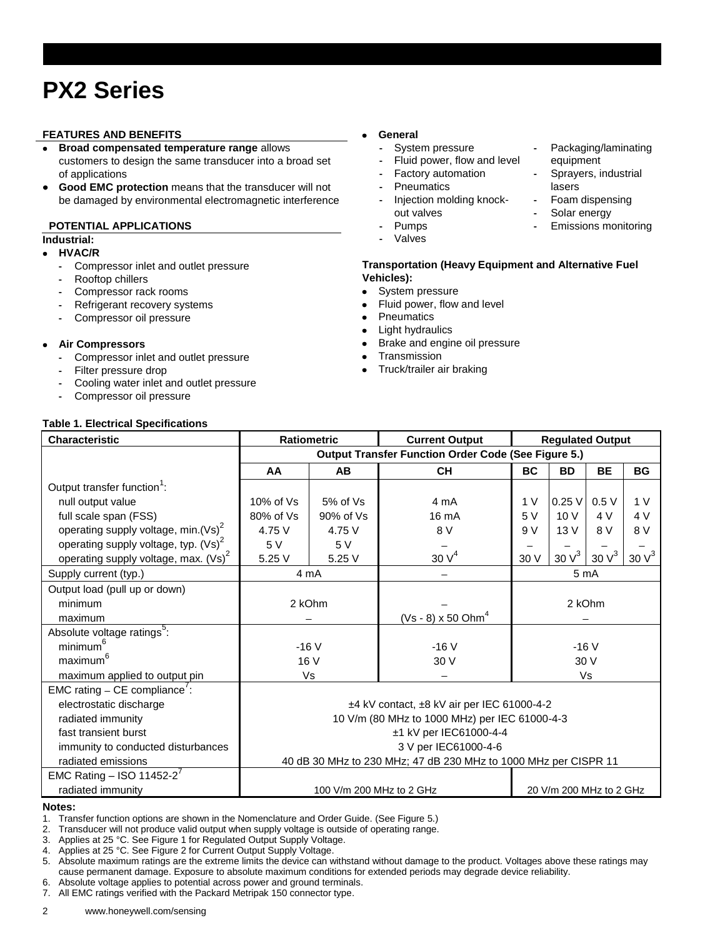# **PX2 Series**

#### **FEATURES AND BENEFITS**

- **Broad compensated temperature range** allows customers to design the same transducer into a broad set of applications
- **Good EMC protection** means that the transducer will not  $\bullet$ be damaged by environmental electromagnetic interference

#### **POTENTIAL APPLICATIONS**

### **Industrial:**

- **HVAC/R**
	- **-** Compressor inlet and outlet pressure
	- **-** Rooftop chillers
	- **-** Compressor rack rooms
	- **-** Refrigerant recovery systems
	- **-** Compressor oil pressure

#### **Air Compressors**  $\bullet$

- **-** Compressor inlet and outlet pressure
- **-** Filter pressure drop
- **-** Cooling water inlet and outlet pressure
- **-** Compressor oil pressure

#### **Table 1. Electrical Specifications**

#### **General**  $\bullet$

- **-** System pressure
- **-** Fluid power, flow and level
- **-** Factory automation
- **-** Pneumatics
- **-** Injection molding knockout valves
- **-** Pumps
- **-** Valves

#### **Transportation (Heavy Equipment and Alternative Fuel Vehicles):**

- $\bullet$ System pressure
- Fluid power, flow and level  $\bullet$
- **Pneumatics**  $\bullet$
- Light hydraulics  $\bullet$
- Brake and engine oil pressure  $\bullet$
- $\bullet$ **Transmission**
- $\bullet$ Truck/trailer air braking

| Characteristic                          | <b>Ratiometric</b>                                              |              | <b>Current Output</b>            | <b>Regulated Output</b> |                   |                   |                  |
|-----------------------------------------|-----------------------------------------------------------------|--------------|----------------------------------|-------------------------|-------------------|-------------------|------------------|
|                                         | <b>Output Transfer Function Order Code (See Figure 5.)</b>      |              |                                  |                         |                   |                   |                  |
|                                         | AA                                                              | <b>AB</b>    | <b>CH</b>                        | <b>BC</b>               | <b>BD</b>         | <b>BE</b>         | <b>BG</b>        |
| Output transfer function <sup>1</sup> : |                                                                 |              |                                  |                         |                   |                   |                  |
| null output value                       | 10% of Vs                                                       | $5%$ of $Vs$ | 4 mA                             | 1 <sub>V</sub>          | 0.25V             | 0.5V              | 1 <sub>V</sub>   |
| full scale span (FSS)                   | 80% of Vs                                                       | 90% of Vs    | 16 mA                            | 5V                      | 10 V              | 4 V               | 4 V              |
| operating supply voltage, min. $(Vs)^2$ | 4.75 V                                                          | 4.75 V       | 8 V                              | 9 V                     | 13V               | 8 V               | 8 V              |
| operating supply voltage, typ. $(Vs)^2$ | 5 V                                                             | 5V           |                                  |                         |                   |                   |                  |
| operating supply voltage, max. $(Vs)^2$ | 5.25 V                                                          | 5.25 V       | 30V <sup>4</sup>                 | 30 V                    | 30 V <sup>3</sup> | 30 V <sup>3</sup> | 30V <sup>3</sup> |
| Supply current (typ.)                   | 4 mA                                                            |              |                                  | 5 <sub>m</sub> A        |                   |                   |                  |
| Output load (pull up or down)           |                                                                 |              |                                  |                         |                   |                   |                  |
| minimum                                 | 2 kOhm                                                          |              |                                  |                         | 2 kOhm            |                   |                  |
| maximum                                 |                                                                 |              | $(Vs - 8)$ x 50 Ohm <sup>4</sup> |                         |                   |                   |                  |
| Absolute voltage ratings <sup>5</sup> : |                                                                 |              |                                  |                         |                   |                   |                  |
| minimum                                 | $-16V$                                                          |              | $-16V$                           | $-16V$                  |                   |                   |                  |
| maximum <sup>6</sup>                    | 16 V                                                            |              | 30 V                             | 30 V                    |                   |                   |                  |
| maximum applied to output pin           | Vs                                                              |              |                                  | Vs                      |                   |                   |                  |
| EMC rating $-$ CE compliance':          |                                                                 |              |                                  |                         |                   |                   |                  |
| electrostatic discharge                 | ±4 kV contact, ±8 kV air per IEC 61000-4-2                      |              |                                  |                         |                   |                   |                  |
| radiated immunity                       | 10 V/m (80 MHz to 1000 MHz) per IEC 61000-4-3                   |              |                                  |                         |                   |                   |                  |
| fast transient burst                    | ±1 kV per IEC61000-4-4                                          |              |                                  |                         |                   |                   |                  |
| immunity to conducted disturbances      | 3 V per IEC61000-4-6                                            |              |                                  |                         |                   |                   |                  |
| radiated emissions                      | 40 dB 30 MHz to 230 MHz; 47 dB 230 MHz to 1000 MHz per CISPR 11 |              |                                  |                         |                   |                   |                  |
| EMC Rating - ISO 11452-2 <sup>7</sup>   |                                                                 |              |                                  |                         |                   |                   |                  |
| radiated immunity                       | 100 V/m 200 MHz to 2 GHz<br>20 V/m 200 MHz to 2 GHz             |              |                                  |                         |                   |                   |                  |

#### **Notes:**

1. Transfer function options are shown in the Nomenclature and Order Guide. (See Figure 5.)

2. Transducer will not produce valid output when supply voltage is outside of operating range.

3. Applies at 25 °C. See Figure 1 for Regulated Output Supply Voltage.

4. Applies at 25 °C. See Figure 2 for Current Output Supply Voltage.

5. Absolute maximum ratings are the extreme limits the device can withstand without damage to the product. Voltages above these ratings may cause permanent damage. Exposure to absolute maximum conditions for extended periods may degrade device reliability. 6. Absolute voltage applies to potential across power and ground terminals.

7. All EMC ratings verified with the Packard Metripak 150 connector type.

#### **-** Packaging/laminating equipment

- **-** Sprayers, industrial lasers
- **-** Foam dispensing
- **-** Solar energy
- **-** Emissions monitoring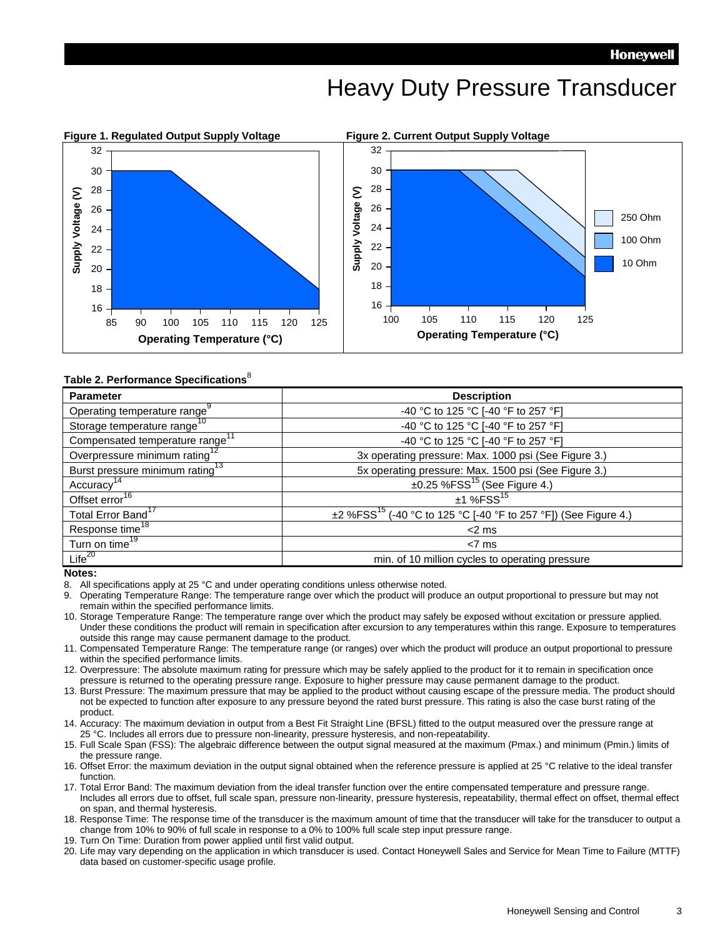### Heavy Duty Pressure Transducer



#### **Table 2. Performance Specifications**<sup>8</sup>

| <b>Parameter</b>                            | <b>Description</b>                                                               |
|---------------------------------------------|----------------------------------------------------------------------------------|
| Operating temperature range                 | -40 °C to 125 °C [-40 °F to 257 °F]                                              |
| Storage temperature range <sup>10</sup>     | -40 °C to 125 °C [-40 °F to 257 °F]                                              |
| Compensated temperature range               | -40 °C to 125 °C [-40 °F to 257 °F]                                              |
| Overpressure minimum rating <sup>12</sup>   | 3x operating pressure: Max. 1000 psi (See Figure 3.)                             |
| Burst pressure minimum rating <sup>13</sup> | 5x operating pressure: Max. 1500 psi (See Figure 3.)                             |
| Accuracy <sup>14</sup>                      | $\pm 0.25$ %FSS <sup>15</sup> (See Figure 4.)                                    |
| Offset error <sup>16</sup>                  | $±1$ %FSS <sup>15</sup>                                                          |
| Total Error Band <sup>17</sup>              | $\pm$ 2 %FSS <sup>15</sup> (-40 °C to 125 °C [-40 °F to 257 °F]) (See Figure 4.) |
| Response time <sup>18</sup>                 | $<$ 2 ms                                                                         |
| Turn on time <sup>19</sup>                  | $< 7$ ms                                                                         |
| Life $^{20}$                                | min. of 10 million cycles to operating pressure                                  |

#### **Notes:**

8. All specifications apply at 25 °C and under operating conditions unless otherwise noted.

- 9. Operating Temperature Range: The temperature range over which the product will produce an output proportional to pressure but may not remain within the specified performance limits.
- 10. Storage Temperature Range: The temperature range over which the product may safely be exposed without excitation or pressure applied. Under these conditions the product will remain in specification after excursion to any temperatures within this range. Exposure to temperatures outside this range may cause permanent damage to the product.
- 11. Compensated Temperature Range: The temperature range (or ranges) over which the product will produce an output proportional to pressure within the specified performance limits.
- 12. Overpressure: The absolute maximum rating for pressure which may be safely applied to the product for it to remain in specification once pressure is returned to the operating pressure range. Exposure to higher pressure may cause permanent damage to the product.
- 13. Burst Pressure: The maximum pressure that may be applied to the product without causing escape of the pressure media. The product should not be expected to function after exposure to any pressure beyond the rated burst pressure. This rating is also the case burst rating of the product.
- 14. Accuracy: The maximum deviation in output from a Best Fit Straight Line (BFSL) fitted to the output measured over the pressure range at 25 °C. Includes all errors due to pressure non-linearity, pressure hysteresis, and non-repeatability.
- 15. Full Scale Span (FSS): The algebraic difference between the output signal measured at the maximum (Pmax.) and minimum (Pmin.) limits of the pressure range.
- 16. Offset Error: the maximum deviation in the output signal obtained when the reference pressure is applied at 25 °C relative to the ideal transfer function.
- 17. Total Error Band: The maximum deviation from the ideal transfer function over the entire compensated temperature and pressure range. Includes all errors due to offset, full scale span, pressure non-linearity, pressure hysteresis, repeatability, thermal effect on offset, thermal effect on span, and thermal hysteresis.
- 18. Response Time: The response time of the transducer is the maximum amount of time that the transducer will take for the transducer to output a change from 10% to 90% of full scale in response to a 0% to 100% full scale step input pressure range.
- 19. Turn On Time: Duration from power applied until first valid output.
- 20. Life may vary depending on the application in which transducer is used. Contact Honeywell Sales and Service for Mean Time to Failure (MTTF) data based on customer-specific usage profile.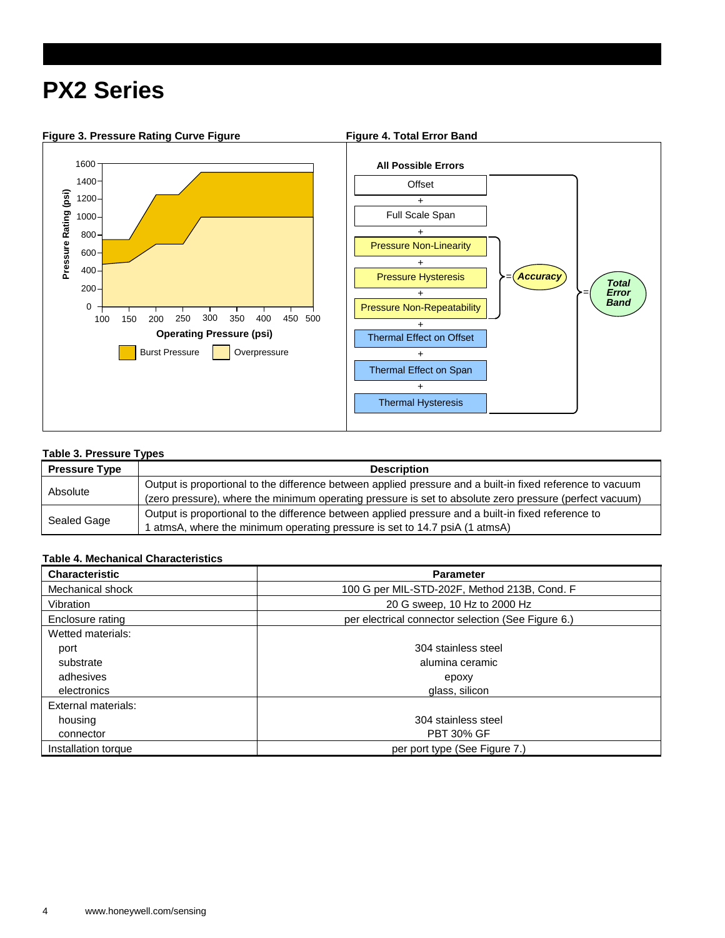## **PX2 Series**



#### **Table 3. Pressure Types**

| <b>Pressure Type</b> | <b>Description</b>                                                                                         |
|----------------------|------------------------------------------------------------------------------------------------------------|
| Absolute             | Output is proportional to the difference between applied pressure and a built-in fixed reference to vacuum |
|                      | (zero pressure), where the minimum operating pressure is set to absolute zero pressure (perfect vacuum)    |
| Sealed Gage          | Output is proportional to the difference between applied pressure and a built-in fixed reference to        |
|                      | atmsA, where the minimum operating pressure is set to 14.7 psiA (1 atmsA)                                  |

#### **Table 4. Mechanical Characteristics**

| <b>Characteristic</b> | <b>Parameter</b>                                   |
|-----------------------|----------------------------------------------------|
| Mechanical shock      | 100 G per MIL-STD-202F, Method 213B, Cond. F       |
| Vibration             | 20 G sweep, 10 Hz to 2000 Hz                       |
| Enclosure rating      | per electrical connector selection (See Figure 6.) |
| Wetted materials:     |                                                    |
| port                  | 304 stainless steel                                |
| substrate             | alumina ceramic                                    |
| adhesives             | epoxy                                              |
| electronics           | glass, silicon                                     |
| External materials:   |                                                    |
| housing               | 304 stainless steel                                |
| connector             | <b>PBT 30% GF</b>                                  |
| Installation torque   | per port type (See Figure 7.)                      |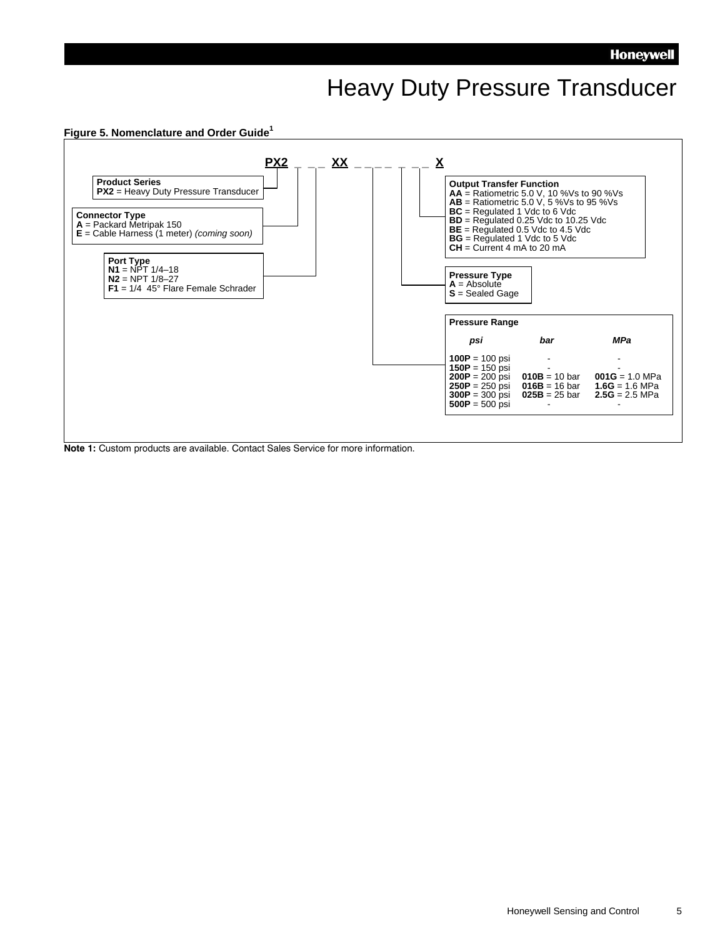### Heavy Duty Pressure Transducer



**Note 1:** Custom products are available. Contact Sales Service for more information.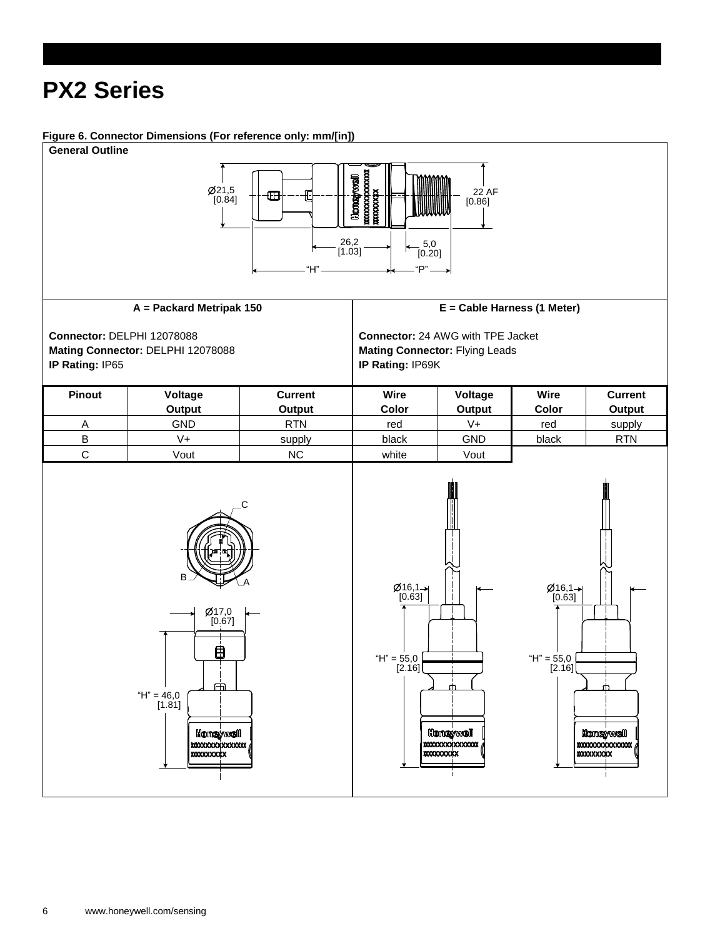## **PX2 Series**

#### **Figure 6. Connector Dimensions (For reference only: mm/[in])**

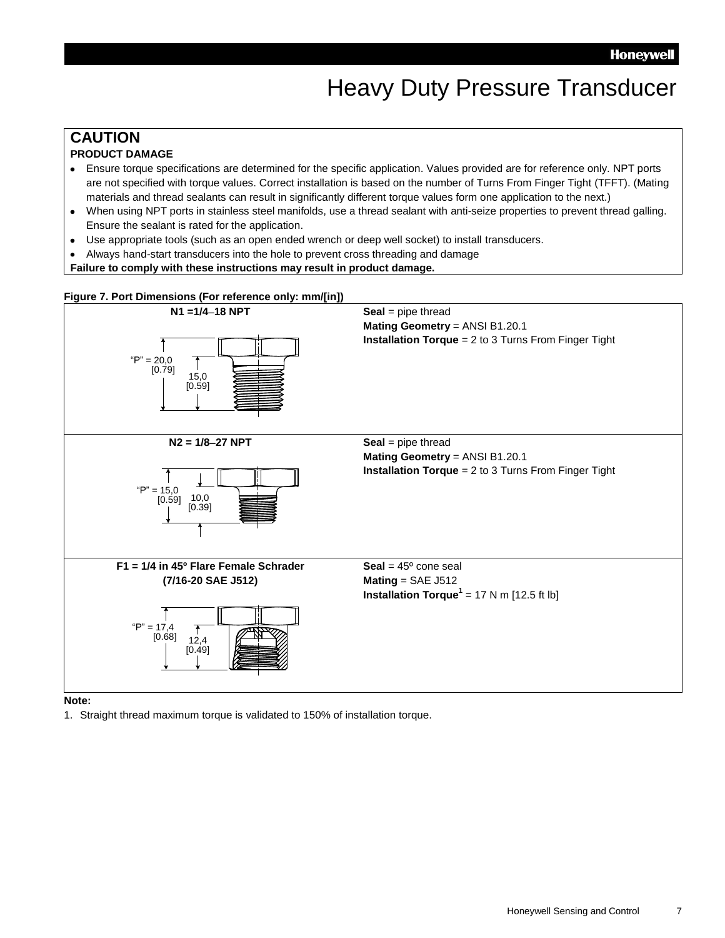### Heavy Duty Pressure Transducer

### **CAUTION**

#### **PRODUCT DAMAGE**

- Ensure torque specifications are determined for the specific application. Values provided are for reference only. NPT ports are not specified with torque values. Correct installation is based on the number of Turns From Finger Tight (TFFT). (Mating materials and thread sealants can result in significantly different torque values form one application to the next.)
- When using NPT ports in stainless steel manifolds, use a thread sealant with anti-seize properties to prevent thread galling.  $\bullet$ Ensure the sealant is rated for the application.
- Use appropriate tools (such as an open ended wrench or deep well socket) to install transducers.  $\bullet$
- Always hand-start transducers into the hole to prevent cross threading and damage
- **Failure to comply with these instructions may result in product damage.**



**Note:**

1. Straight thread maximum torque is validated to 150% of installation torque.